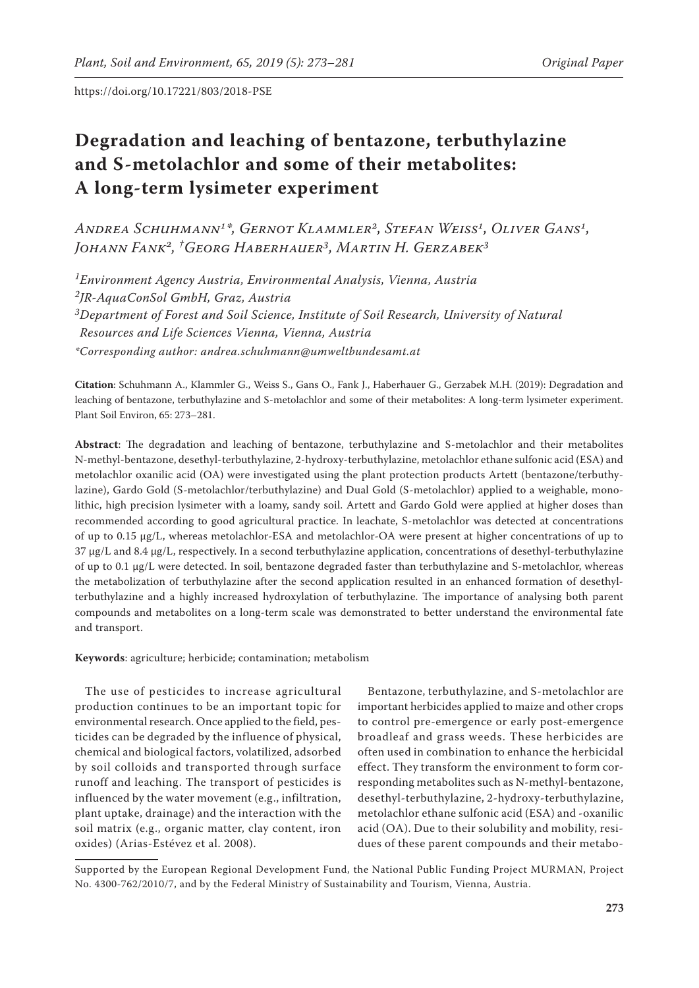# **Degradation and leaching of bentazone, terbuthylazine and S-metolachlor and some of their metabolites: A long-term lysimeter experiment**

*Andrea Schuhmann1\*, Gernot Klammler2, Stefan Weiss1, Oliver Gans1, Johann Fank2, † Georg Haberhauer3, Martin H. Gerzabek3*

*1Environment Agency Austria, Environmental Analysis, Vienna, Austria 2JR-AquaConSol GmbH, Graz, Austria 3Department of Forest and Soil Science, Institute of Soil Research, University of Natural Resources and Life Sciences Vienna, Vienna, Austria \*Corresponding author: andrea.schuhmann@umweltbundesamt.at*

**Citation**: Schuhmann A., Klammler G., Weiss S., Gans O., Fank J., Haberhauer G., Gerzabek M.H. (2019): Degradation and leaching of bentazone, terbuthylazine and S-metolachlor and some of their metabolites: A long-term lysimeter experiment. Plant Soil Environ, 65: 273–281.

**Abstract**: The degradation and leaching of bentazone, terbuthylazine and S-metolachlor and their metabolites N-methyl-bentazone, desethyl-terbuthylazine, 2-hydroxy-terbuthylazine, metolachlor ethane sulfonic acid (ESA) and metolachlor oxanilic acid (OA) were investigated using the plant protection products Artett (bentazone/terbuthylazine), Gardo Gold (S-metolachlor/terbuthylazine) and Dual Gold (S-metolachlor) applied to a weighable, monolithic, high precision lysimeter with a loamy, sandy soil. Artett and Gardo Gold were applied at higher doses than recommended according to good agricultural practice. In leachate, S-metolachlor was detected at concentrations of up to 0.15 µg/L, whereas metolachlor-ESA and metolachlor-OA were present at higher concentrations of up to 37 µg/L and 8.4 µg/L, respectively. In a second terbuthylazine application, concentrations of desethyl-terbuthylazine of up to 0.1 µg/L were detected. In soil, bentazone degraded faster than terbuthylazine and S-metolachlor, whereas the metabolization of terbuthylazine after the second application resulted in an enhanced formation of desethylterbuthylazine and a highly increased hydroxylation of terbuthylazine. The importance of analysing both parent compounds and metabolites on a long-term scale was demonstrated to better understand the environmental fate and transport.

**Keywords**: agriculture; herbicide; contamination; metabolism

The use of pesticides to increase agricultural production continues to be an important topic for environmental research. Once applied to the field, pesticides can be degraded by the influence of physical, chemical and biological factors, volatilized, adsorbed by soil colloids and transported through surface runoff and leaching. The transport of pesticides is influenced by the water movement (e.g., infiltration, plant uptake, drainage) and the interaction with the soil matrix (e.g., organic matter, clay content, iron oxides) (Arias-Estévez et al. 2008).

Bentazone, terbuthylazine, and S-metolachlor are important herbicides applied to maize and other crops to control pre-emergence or early post-emergence broadleaf and grass weeds. These herbicides are often used in combination to enhance the herbicidal effect. They transform the environment to form corresponding metabolites such as N-methyl-bentazone, desethyl-terbuthylazine, 2-hydroxy-terbuthylazine, metolachlor ethane sulfonic acid (ESA) and -oxanilic acid (OA). Due to their solubility and mobility, residues of these parent compounds and their metabo-

Supported by the European Regional Development Fund, the National Public Funding Project MURMAN, Project No. 4300-762/2010/7, and by the Federal Ministry of Sustainability and Tourism, Vienna, Austria.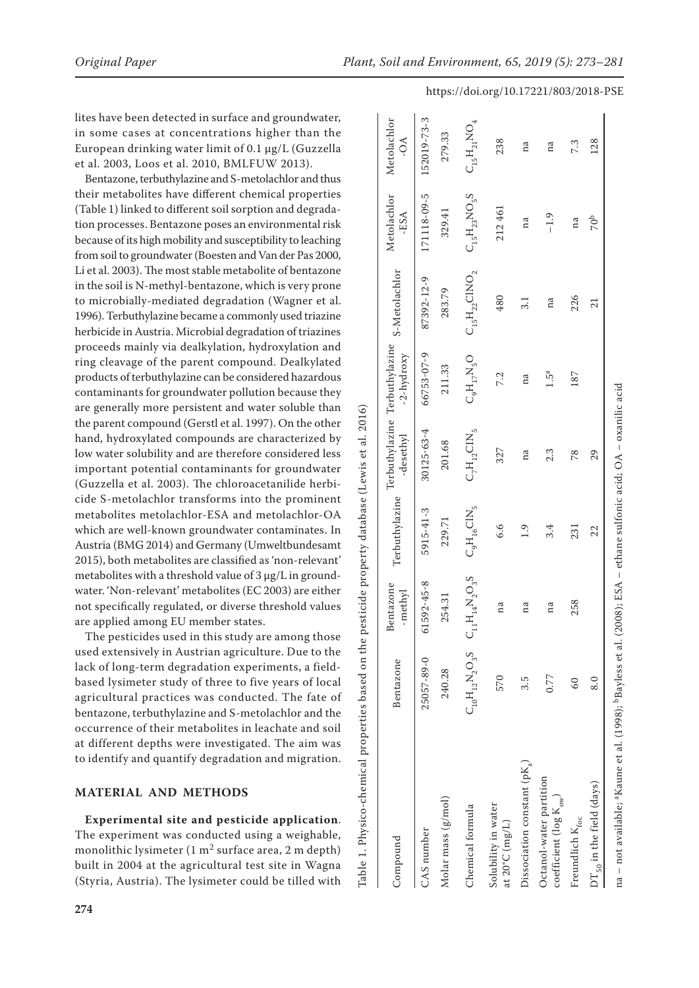lites have been detected in surface and groundwater, in some cases at concentrations higher than the European drinking water limit of 0.1 µg/L (Guzzella et al. 2003, Loos et al. 2010, BMLFUW 2013).

Bentazone, terbuthylazine and S-metolachlor and thus their metabolites have different chemical properties (Table 1) linked to different soil sorption and degrada tion processes. Bentazone poses an environmental risk because of its high mobility and susceptibility to leaching from soil to groundwater (Boesten and Van der Pas 2000, Li et al. 2003). The most stable metabolite of bentazone in the soil is N-methyl-bentazone, which is very prone to microbially-mediated degradation (Wagner et al. 1996). Terbuthylazine became a commonly used triazine herbicide in Austria. Microbial degradation of triazines proceeds mainly via dealkylation, hydroxylation and ring cleavage of the parent compound. Dealkylated products of terbuthylazine can be considered hazardous contaminants for groundwater pollution because they are generally more persistent and water soluble than the parent compound (Gerstl et al. 1997). On the other hand, hydroxylated compounds are characterized by low water solubility and are therefore considered less important potential contaminants for groundwater (Guzzella et al. 2003). The chloroacetanilide herbi cide S-metolachlor transforms into the prominent metabolites metolachlor-ESA and metolachlor-OA which are well-known groundwater contaminates. In Austria (BMG 2014) and Germany (Umweltbundesamt 2015), both metabolites are classified as 'non-relevant' metabolites with a threshold value of 3 µg/L in ground water. 'Non-relevant' metabolites (EC 2003) are either not specifically regulated, or diverse threshold values are applied among EU member states.

The pesticides used in this study are among those used extensively in Austrian agriculture. Due to the lack of long-term degradation experiments, a fieldbased lysimeter study of three to five years of local agricultural practices was conducted. The fate of bentazone, terbuthylazine and S-metolachlor and the occurrence of their metabolites in leachate and soil at different depths were investigated. The aim was to identify and quantify degradation and migration.

## **MATERIAL AND METHODS**

**Experimental site and pesticide application**. The experiment was conducted using a weighable, monolithic lysimeter  $(1 \text{ m}^2 \text{ surface area}, 2 \text{ m depth})$ built in 2004 at the agricultural test site in Wagna (Styria, Austria). The lysimeter could be tilled with

Metolachlor [52019-73-3 Compound Bentazone Bentazone -methyl Terbuthylazine Terbuthylazine -desethyl Terbuthylazine -2-hydroxy S-Metolachlor Metolachlor -ESA Metolachlor -OA CAS number 25057-89-0 61592-45-8 5915-41-3 30125-63-4 66753-07-9 87392-12-9 171118-09-5 152019-73-3  $C_{\rm N}$ N  $C_{\rm N}$ N  $C_{\rm N}$ N O $_{\rm N}$ N  $C_{\rm N}$ N  $C_{\rm N}$  of  $C_{\rm N}$ N  $C_{\rm N}$ N  $C_{\rm N}$ N  $C_{\rm N}$ N  $C_{\rm N}$ N  $C_{\rm N}$ N  $C_{\rm N}$ N  $C_{\rm N}$ N  $C_{\rm N}$ N  $C_{\rm N}$ N  $C_{\rm N}$ N  $C_{\rm N}$ N  $C_{\rm N}$ N  $C_{\rm N}$ N  $C_{\rm N}$ N  $C_{\rm N}$ N  $\mathrm{C_{15}H_{21}NO_4}$ 279.33 Molar mass (g/mol) 240.31 254.31 2254.31 201.68 254.31 229.79 283.79 29.79.33 -OA 238 at 20°C (mg/L) 570 na 6.6 327 7.2 480 212 461 213 8 213 8 227 at 20°C (mg/L) na na Dissociation constant (pKa) 3.5 na 1.9 na na 3.1 na na coefficient (log K<sub>ow</sub>)  $0.77$  na  $3.4$   $2.3$   $1.5$ <sup>a</sup> na  $-1.9$  na experiment (log K<sub>ow</sub>) 171118-09-5  $\mathrm{C_{15}H_{23}NO_{5}S}$ Metolachlor 212461 329.41 -ESA  $-1.9$ na S-Metolachlor  $\mathrm{C_{15}H_{22}CINO_{2}}$ 87392-12-9 283.79 180  $3.1$ na Terbuthylazine Terbuthylazine 66753-07-9  $\mathrm{C_{9}H_{17}N_{5}O}$  $-2$ -hydroxy 211.33  $1.5^a$ 7.2 na Table 1. Physico-chemical properties based on the pesticide property database (Lewis et al. 2016) Table 1. Physico-chemical properties based on the pesticide property database (Lewis et al. 2016)  $\mathrm{C_7H_{12}CH_{5}}$ 30125-63-4 -desethyl 201.68 327  $2.3$ na **Terbuthylazine** 5915-41-3  $C_9H_{16}CH_{5}$ 229.71  $6.6$  $1.9$  $3.4$  $\mathsf{C}_{11}\mathsf{H}_{14}\mathsf{N}_2\mathsf{O}_3\mathsf{S}$ 61592-45-8 Bentazone methyl 254.31 na na na  $\text{C}_{10}\text{H}_{12}\text{N}_2\text{O}_3\text{S}$ 5057-89-0 **Sentazone** 240.28 0.77 570  $3.\overline{5}$  $Disociation constant (pK<sub>2</sub>)$ Octanol-water partition Octanol-water partition Molar mass (g/mol) coefficient (log  $\mathrm{K}_{\mathrm{ow}}$ Solubility in water Chemical formula Solubility in water Freundlich $\mathrm{K_{foc}}$ at 20°C  $(mg/L)$ CAS number **Compound** 

#### https://doi.org/10.17221/803/2018-PSE

7.3

na  $\sigma$ 

226

187

 $21$ 

<sup>26</sup>

na – not available; ªKaune et al. (1998); <sup>b</sup>Bayless et al. (2008); ESA – ethane sulfonic acid; OA – oxanilic acid na – not available; aKaune et al. (1998); bBayless et al. (2008); ESA – ethane sulfonic acid; OA – oxanilic acid

Freundlich K<sub>foc</sub> 60 258 258 258 187 231 231 236 na <sup>27.3</sup>  $DT_{50}$  in the field (days)  $8.0$   $3.0$ 

231

258

 $60$ 

22

8.0

 $DT_{50}$  in the field (days)

 $78\,$ 29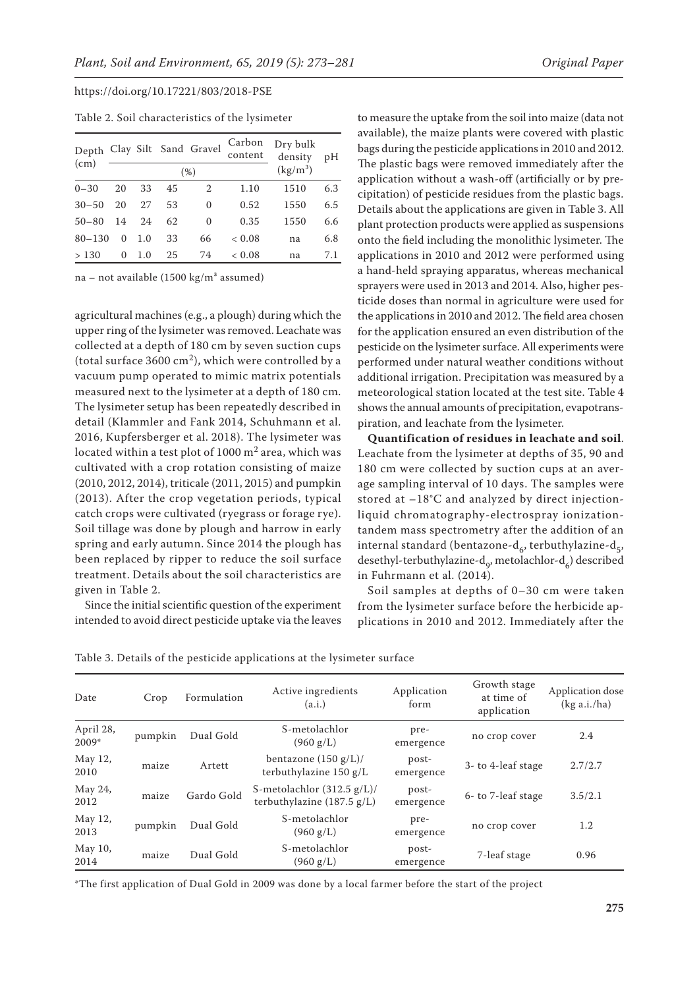|  |  | Table 2. Soil characteristics of the lysimeter |  |  |  |
|--|--|------------------------------------------------|--|--|--|
|--|--|------------------------------------------------|--|--|--|

|            |          |     |    | Depth Clay Silt Sand Gravel | Carbon<br>content | Dry bulk<br>density | pН  |
|------------|----------|-----|----|-----------------------------|-------------------|---------------------|-----|
| (cm)       | (%)      |     |    |                             | $(kg/m^3)$        |                     |     |
| $0 - 30$   | 20       | 33  | 45 | 2                           | 1.10              | 1510                | 6.3 |
| $30 - 50$  | 20       | 27  | 53 | 0                           | 0.52              | 1550                | 6.5 |
| $50 - 80$  | 14       | 24  | 62 | 0                           | 0.35              | 1550                | 6.6 |
| $80 - 130$ | 0        | 1.0 | 33 | 66                          | < 0.08            | na                  | 6.8 |
| >130       | $^{(1)}$ | 1.0 | 25 | 74                          | < 0.08            | na                  | 7.1 |

na – not available (1500 kg/m<sup>3</sup> assumed)

agricultural machines (e.g., a plough) during which the upper ring of the lysimeter was removed. Leachate was collected at a depth of 180 cm by seven suction cups (total surface  $3600 \text{ cm}^2$ ), which were controlled by a vacuum pump operated to mimic matrix potentials measured next to the lysimeter at a depth of 180 cm. The lysimeter setup has been repeatedly described in detail (Klammler and Fank 2014, Schuhmann et al. 2016, Kupfersberger et al. 2018). The lysimeter was located within a test plot of 1000  $m<sup>2</sup>$  area, which was cultivated with a crop rotation consisting of maize (2010, 2012, 2014), triticale (2011, 2015) and pumpkin (2013). After the crop vegetation periods, typical catch crops were cultivated (ryegrass or forage rye). Soil tillage was done by plough and harrow in early spring and early autumn. Since 2014 the plough has been replaced by ripper to reduce the soil surface treatment. Details about the soil characteristics are given in Table 2.

Since the initial scientific question of the experiment intended to avoid direct pesticide uptake via the leaves

to measure the uptake from the soil into maize (data not available), the maize plants were covered with plastic bags during the pesticide applications in 2010 and 2012. The plastic bags were removed immediately after the application without a wash-off (artificially or by precipitation) of pesticide residues from the plastic bags. Details about the applications are given in Table 3. All plant protection products were applied as suspensions onto the field including the monolithic lysimeter. The applications in 2010 and 2012 were performed using a hand-held spraying apparatus, whereas mechanical sprayers were used in 2013 and 2014. Also, higher pesticide doses than normal in agriculture were used for the applications in 2010 and 2012. The field area chosen for the application ensured an even distribution of the pesticide on the lysimeter surface. All experiments were performed under natural weather conditions without additional irrigation. Precipitation was measured by a meteorological station located at the test site. Table 4 shows the annual amounts of precipitation, evapotranspiration, and leachate from the lysimeter.

**Quantification of residues in leachate and soil**. Leachate from the lysimeter at depths of 35, 90 and 180 cm were collected by suction cups at an average sampling interval of 10 days. The samples were stored at –18°C and analyzed by direct injectionliquid chromatography-electrospray ionizationtandem mass spectrometry after the addition of an internal standard (bentazone-d<sub>6</sub>, terbuthylazine-d<sub>5</sub>, desethyl-terbuthylazine-d<sub>o</sub>, metolachlor-d<sub>6</sub>) described in Fuhrmann et al. (2014).

Soil samples at depths of 0–30 cm were taken from the lysimeter surface before the herbicide applications in 2010 and 2012. Immediately after the

| Table 3. Details of the pesticide applications at the lysimeter surface |  |  |
|-------------------------------------------------------------------------|--|--|
|-------------------------------------------------------------------------|--|--|

| Date                 | Crop    | Formulation | Active ingredients<br>(a.i.)                                                  | Application<br>form | Growth stage<br>at time of<br>application | Application dose<br>(kg a.i./ha) |
|----------------------|---------|-------------|-------------------------------------------------------------------------------|---------------------|-------------------------------------------|----------------------------------|
| April 28,<br>$2009*$ | pumpkin | Dual Gold   | S-metolachlor<br>$(960 \text{ g/L})$                                          | pre-<br>emergence   | no crop cover                             | 2.4                              |
| May 12,<br>2010      | maize   | Artett      | bentazone $(150 g/L)$ /<br>terbuthylazine $150 g/L$                           | post-<br>emergence  | 3- to 4-leaf stage                        | 2.7/2.7                          |
| May 24,<br>2012      | maize   | Gardo Gold  | S-metolachlor $(312.5 \text{ g/L})$ /<br>terbuthylazine $(187.5 \text{ g/L})$ | post-<br>emergence  | 6- to 7-leaf stage                        | 3.5/2.1                          |
| May 12,<br>2013      | pumpkin | Dual Gold   | S-metolachlor<br>$(960 \text{ g/L})$                                          | pre-<br>emergence   | no crop cover                             | 1.2                              |
| May 10,<br>2014      | maize   | Dual Gold   | S-metolachlor<br>$(960 \text{ g/L})$                                          | post-<br>emergence  | 7-leaf stage                              | 0.96                             |

\*The first application of Dual Gold in 2009 was done by a local farmer before the start of the project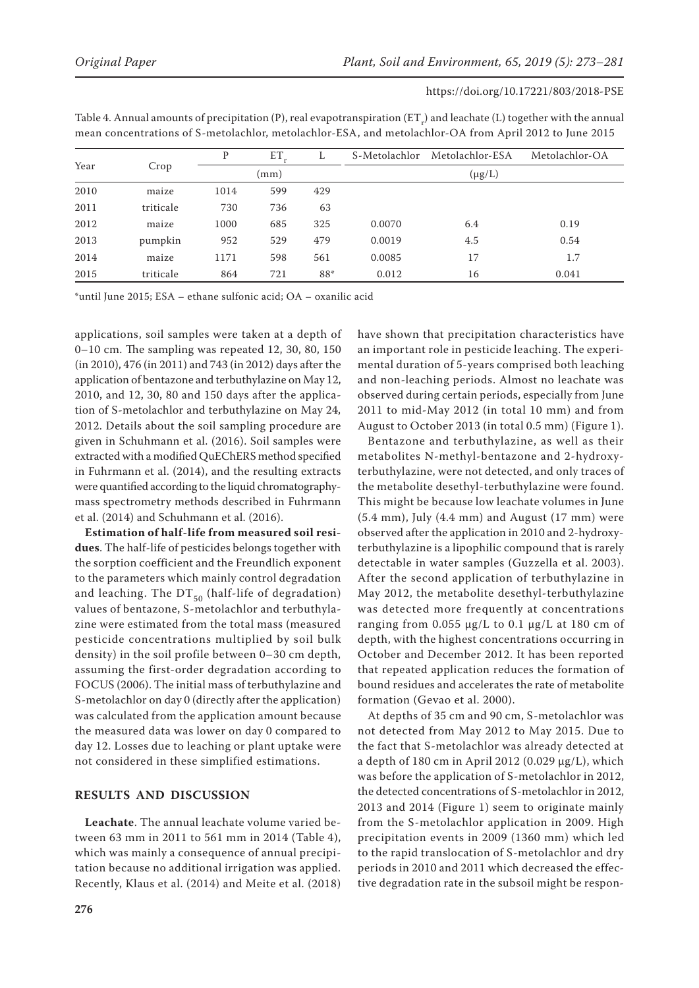|      |           | P    | ET   | ⊥   | S-Metolachlor | Metolachlor-ESA | Metolachlor-OA |  |  |  |
|------|-----------|------|------|-----|---------------|-----------------|----------------|--|--|--|
| Year | Crop      |      | (mm) |     | $(\mu g/L)$   |                 |                |  |  |  |
| 2010 | maize     | 1014 | 599  | 429 |               |                 |                |  |  |  |
| 2011 | triticale | 730  | 736  | 63  |               |                 |                |  |  |  |
| 2012 | maize     | 1000 | 685  | 325 | 0.0070        | 6.4             | 0.19           |  |  |  |
| 2013 | pumpkin   | 952  | 529  | 479 | 0.0019        | 4.5             | 0.54           |  |  |  |
| 2014 | maize     | 1171 | 598  | 561 | 0.0085        | 17              | 1.7            |  |  |  |
| 2015 | triticale | 864  | 721  | 88* | 0.012         | 16              | 0.041          |  |  |  |

Table 4. Annual amounts of precipitation (P), real evapotranspiration (ET<sub>r</sub>) and leachate (L) together with the annual mean concentrations of S-metolachlor, metolachlor-ESA, and metolachlor-OA from April 2012 to June 2015

\*until June 2015; ESA – ethane sulfonic acid; OA – oxanilic acid

applications, soil samples were taken at a depth of 0–10 cm. The sampling was repeated 12, 30, 80, 150 (in 2010), 476 (in 2011) and 743 (in 2012) days after the application of bentazone and terbuthylazine on May 12, 2010, and 12, 30, 80 and 150 days after the application of S-metolachlor and terbuthylazine on May 24, 2012. Details about the soil sampling procedure are given in Schuhmann et al. (2016). Soil samples were extracted with a modified QuEChERS method specified in Fuhrmann et al. (2014), and the resulting extracts were quantified according to the liquid chromatographymass spectrometry methods described in Fuhrmann et al. (2014) and Schuhmann et al. (2016).

**Estimation of half-life from measured soil residues**. The half-life of pesticides belongs together with the sorption coefficient and the Freundlich exponent to the parameters which mainly control degradation and leaching. The  $DT_{50}$  (half-life of degradation) values of bentazone, S-metolachlor and terbuthylazine were estimated from the total mass (measured pesticide concentrations multiplied by soil bulk density) in the soil profile between 0–30 cm depth, assuming the first-order degradation according to FOCUS (2006). The initial mass of terbuthylazine and S-metolachlor on day 0 (directly after the application) was calculated from the application amount because the measured data was lower on day 0 compared to day 12. Losses due to leaching or plant uptake were not considered in these simplified estimations.

## **RESULTS AND DISCUSSION**

**Leachate**. The annual leachate volume varied between 63 mm in 2011 to 561 mm in 2014 (Table 4), which was mainly a consequence of annual precipitation because no additional irrigation was applied. Recently, Klaus et al. (2014) and Meite et al. (2018) have shown that precipitation characteristics have an important role in pesticide leaching. The experimental duration of 5-years comprised both leaching and non-leaching periods. Almost no leachate was observed during certain periods, especially from June 2011 to mid-May 2012 (in total 10 mm) and from August to October 2013 (in total 0.5 mm) (Figure 1).

Bentazone and terbuthylazine, as well as their metabolites N-methyl-bentazone and 2-hydroxyterbuthylazine, were not detected, and only traces of the metabolite desethyl-terbuthylazine were found. This might be because low leachate volumes in June (5.4 mm), July (4.4 mm) and August (17 mm) were observed after the application in 2010 and 2-hydroxyterbuthylazine is a lipophilic compound that is rarely detectable in water samples (Guzzella et al. 2003). After the second application of terbuthylazine in May 2012, the metabolite desethyl-terbuthylazine was detected more frequently at concentrations ranging from 0.055 µg/L to 0.1 µg/L at 180 cm of depth, with the highest concentrations occurring in October and December 2012. It has been reported that repeated application reduces the formation of bound residues and accelerates the rate of metabolite formation (Gevao et al. 2000).

At depths of 35 cm and 90 cm, S-metolachlor was not detected from May 2012 to May 2015. Due to the fact that S-metolachlor was already detected at a depth of 180 cm in April 2012 (0.029 µg/L), which was before the application of S-metolachlor in 2012, the detected concentrations of S-metolachlor in 2012, 2013 and 2014 (Figure 1) seem to originate mainly from the S-metolachlor application in 2009. High precipitation events in 2009 (1360 mm) which led to the rapid translocation of S-metolachlor and dry periods in 2010 and 2011 which decreased the effective degradation rate in the subsoil might be respon-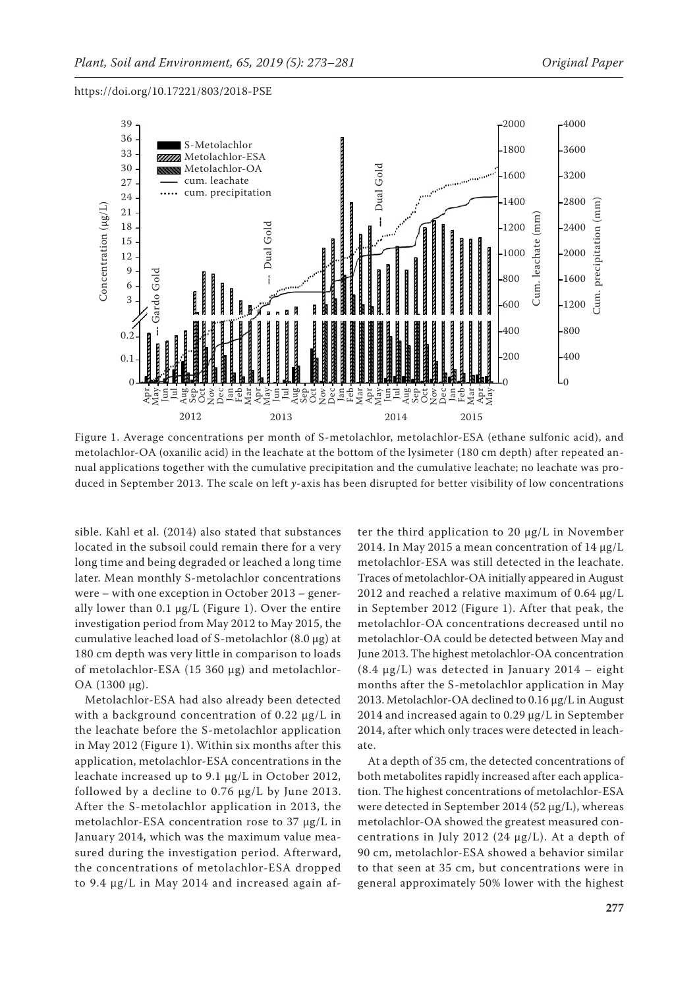

Figure 1. Average concentrations per month of S-metolachlor, metolachlor-ESA (ethane sulfonic acid), and metolachlor-OA (oxanilic acid) in the leachate at the bottom of the lysimeter (180 cm depth) after repeated annual applications together with the cumulative precipitation and the cumulative leachate; no leachate was produced in September 2013. The scale on left *y*-axis has been disrupted for better visibility of low concentrations

sible. Kahl et al. (2014) also stated that substances located in the subsoil could remain there for a very long time and being degraded or leached a long time later. Mean monthly S-metolachlor concentrations were – with one exception in October 2013 – generally lower than  $0.1 \mu g/L$  (Figure 1). Over the entire investigation period from May 2012 to May 2015, the cumulative leached load of S-metolachlor (8.0 µg) at 180 cm depth was very little in comparison to loads of metolachlor-ESA (15 360 µg) and metolachlor-OA (1300 µg).

Metolachlor-ESA had also already been detected with a background concentration of  $0.22 \mu g/L$  in the leachate before the S-metolachlor application in May 2012 (Figure 1). Within six months after this application, metolachlor-ESA concentrations in the leachate increased up to 9.1 µg/L in October 2012, followed by a decline to 0.76 µg/L by June 2013. After the S-metolachlor application in 2013, the metolachlor-ESA concentration rose to 37 µg/L in January 2014, which was the maximum value measured during the investigation period. Afterward, the concentrations of metolachlor-ESA dropped to 9.4 µg/L in May 2014 and increased again after the third application to 20 µg/L in November 2014. In May 2015 a mean concentration of 14 µg/L metolachlor-ESA was still detected in the leachate. Traces of metolachlor-OA initially appeared in August 2012 and reached a relative maximum of 0.64 µg/L in September 2012 (Figure 1). After that peak, the metolachlor-OA concentrations decreased until no metolachlor-OA could be detected between May and June 2013. The highest metolachlor-OA concentration (8.4 µg/L) was detected in January 2014 – eight months after the S-metolachlor application in May 2013. Metolachlor-OA declined to 0.16 µg/L in August 2014 and increased again to 0.29 µg/L in September 2014, after which only traces were detected in leachate.

At a depth of 35 cm, the detected concentrations of both metabolites rapidly increased after each application. The highest concentrations of metolachlor-ESA were detected in September 2014 (52 µg/L), whereas metolachlor-OA showed the greatest measured concentrations in July 2012 (24  $\mu$ g/L). At a depth of 90 cm, metolachlor-ESA showed a behavior similar to that seen at 35 cm, but concentrations were in general approximately 50% lower with the highest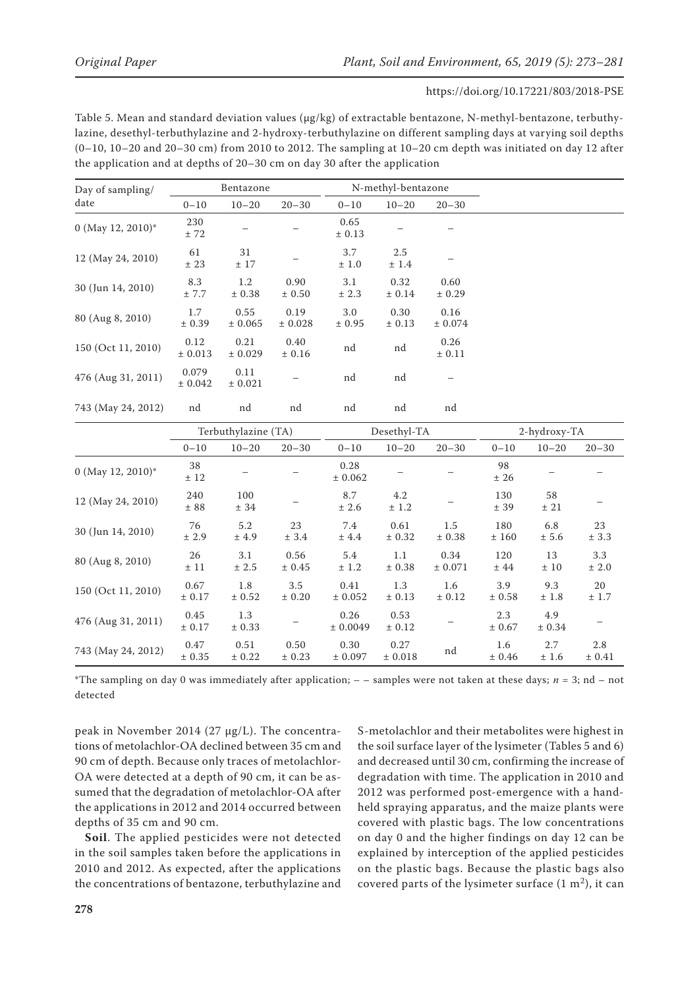Table 5. Mean and standard deviation values (μg/kg) of extractable bentazone, N-methyl-bentazone, terbuthylazine, desethyl-terbuthylazine and 2-hydroxy-terbuthylazine on different sampling days at varying soil depths  $(0-10, 10-20$  and  $20-30$  cm) from 2010 to 2012. The sampling at  $10-20$  cm depth was initiated on day 12 after the application and at depths of 20–30 cm on day 30 after the application

| Day of sampling/<br>date<br>0 (May 12, 2010)*<br>12 (May 24, 2010)<br>30 (Jun 14, 2010)<br>80 (Aug 8, 2010)<br>150 (Oct 11, 2010) |                  | Bentazone       |                 | N-methyl-bentazone |                |                 |
|-----------------------------------------------------------------------------------------------------------------------------------|------------------|-----------------|-----------------|--------------------|----------------|-----------------|
|                                                                                                                                   | $0 - 10$         | $10 - 20$       | $20 - 30$       | $0 - 10$           | $10 - 20$      | $20 - 30$       |
|                                                                                                                                   | 230<br>± 72      |                 |                 | 0.65<br>± 0.13     |                |                 |
|                                                                                                                                   | 61<br>± 23       | 31<br>± 17      |                 | 3.7<br>±1.0        | 2.5<br>± 1.4   |                 |
|                                                                                                                                   | 8.3<br>± 7.7     | 1.2<br>± 0.38   | 0.90<br>± 0.50  | 3.1<br>± 2.3       | 0.32<br>± 0.14 | 0.60<br>± 0.29  |
|                                                                                                                                   | 1.7<br>± 0.39    | 0.55<br>± 0.065 | 0.19<br>± 0.028 | 3.0<br>± 0.95      | 0.30<br>± 0.13 | 0.16<br>± 0.074 |
|                                                                                                                                   | 0.12<br>± 0.013  | 0.21<br>± 0.029 | 0.40<br>± 0.16  | nd                 | nd             | 0.26<br>± 0.11  |
| 476 (Aug 31, 2011)                                                                                                                | 0.079<br>± 0.042 | 0.11<br>± 0.021 |                 | nd                 | nd             |                 |
| 743 (May 24, 2012)                                                                                                                | nd               | nd              | nd              | nd                 | nd             | nd              |

|                    | Terbuthylazine (TA) |                |                | Desethyl-TA      |                 |                 | 2-hydroxy-TA  |               |               |
|--------------------|---------------------|----------------|----------------|------------------|-----------------|-----------------|---------------|---------------|---------------|
|                    | $0 - 10$            | $10 - 20$      | $20 - 30$      | $0 - 10$         | $10 - 20$       | $20 - 30$       | $0 - 10$      | $10 - 20$     | $20 - 30$     |
| 0 (May 12, 2010)*  | 38<br>± 12          |                |                | 0.28<br>± 0.062  |                 |                 | 98<br>± 26    |               |               |
| 12 (May 24, 2010)  | 240<br>± 88         | 100<br>± 34    |                | 8.7<br>± 2.6     | 4.2<br>± 1.2    |                 | 130<br>± 39   | 58<br>± 21    |               |
| 30 (Jun 14, 2010)  | 76<br>± 2.9         | 5.2<br>±4.9    | 23<br>± 3.4    | 7.4<br>±4.4      | 0.61<br>± 0.32  | 1.5<br>± 0.38   | 180<br>±160   | 6.8<br>± 5.6  | 23<br>± 3.3   |
| 80 (Aug 8, 2010)   | 26<br>± 11          | 3.1<br>± 2.5   | 0.56<br>± 0.45 | 5.4<br>± 1.2     | 1.1<br>± 0.38   | 0.34<br>± 0.071 | 120<br>±44    | 13<br>±10     | 3.3<br>± 2.0  |
| 150 (Oct 11, 2010) | 0.67<br>± 0.17      | 1.8<br>± 0.52  | 3.5<br>± 0.20  | 0.41<br>± 0.052  | 1.3<br>± 0.13   | 1.6<br>± 0.12   | 3.9<br>± 0.58 | 9.3<br>±1.8   | 20<br>± 1.7   |
| 476 (Aug 31, 2011) | 0.45<br>± 0.17      | 1.3<br>± 0.33  |                | 0.26<br>± 0.0049 | 0.53<br>± 0.12  |                 | 2.3<br>± 0.67 | 4.9<br>± 0.34 |               |
| 743 (May 24, 2012) | 0.47<br>± 0.35      | 0.51<br>± 0.22 | 0.50<br>± 0.23 | 0.30<br>± 0.097  | 0.27<br>± 0.018 | nd              | 1.6<br>± 0.46 | 2.7<br>±1.6   | 2.8<br>± 0.41 |

\*The sampling on day 0 was immediately after application;  $-$  – samples were not taken at these days;  $n = 3$ ; nd – not detected

peak in November 2014 (27 µg/L). The concentrations of metolachlor-OA declined between 35 cm and 90 cm of depth. Because only traces of metolachlor-OA were detected at a depth of 90 cm, it can be assumed that the degradation of metolachlor-OA after the applications in 2012 and 2014 occurred between depths of 35 cm and 90 cm.

**Soil**. The applied pesticides were not detected in the soil samples taken before the applications in 2010 and 2012. As expected, after the applications the concentrations of bentazone, terbuthylazine and S-metolachlor and their metabolites were highest in the soil surface layer of the lysimeter (Tables 5 and 6) and decreased until 30 cm, confirming the increase of degradation with time. The application in 2010 and 2012 was performed post-emergence with a handheld spraying apparatus, and the maize plants were covered with plastic bags. The low concentrations on day 0 and the higher findings on day 12 can be explained by interception of the applied pesticides on the plastic bags. Because the plastic bags also covered parts of the lysimeter surface  $(1 \text{ m}^2)$ , it can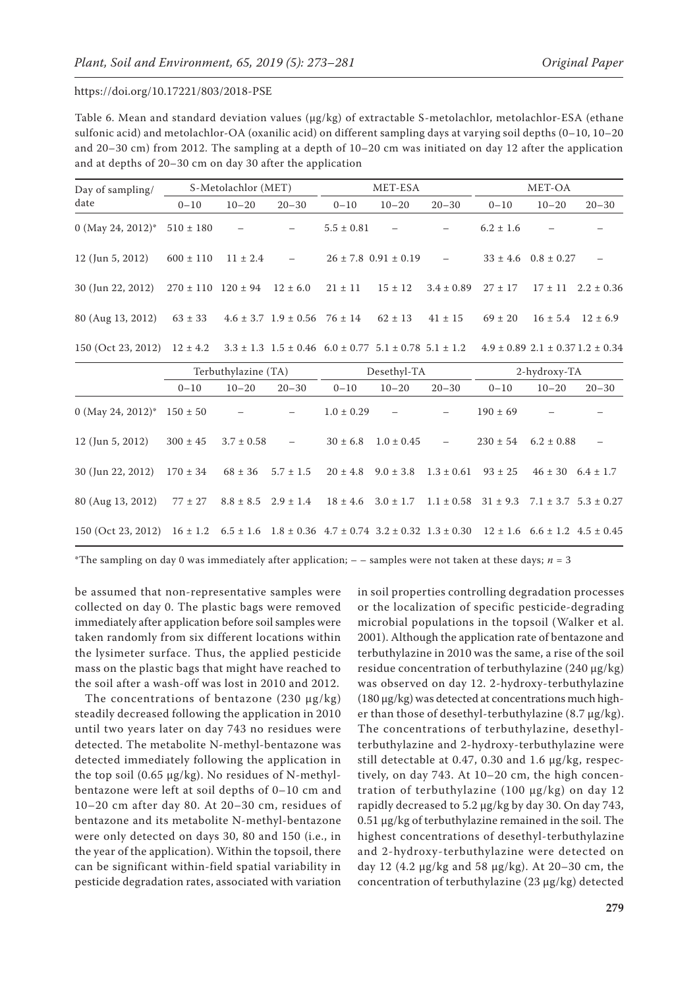Table 6. Mean and standard deviation values (μg/kg) of extractable S-metolachlor, metolachlor-ESA (ethane sulfonic acid) and metolachlor-OA (oxanilic acid) on different sampling days at varying soil depths (0–10, 10–20 and 20–30 cm) from 2012. The sampling at a depth of 10–20 cm was initiated on day 12 after the application and at depths of 20–30 cm on day 30 after the application

| Day of sampling/                                                                                         |                            | S-Metolachlor (MET)      |                                          | MET-ESA        |                              |                          | MET-OA                                       |                             |                |
|----------------------------------------------------------------------------------------------------------|----------------------------|--------------------------|------------------------------------------|----------------|------------------------------|--------------------------|----------------------------------------------|-----------------------------|----------------|
| date                                                                                                     | $0 - 10$                   | $10 - 20$                | $20 - 30$                                | $0 - 10$       | $10 - 20$                    | $20 - 30$                | $0 - 10$                                     | $10 - 20$                   | $20 - 30$      |
| 0 (May 24, 2012)*                                                                                        | $510 \pm 180$              | $\overline{\phantom{a}}$ |                                          | $5.5 \pm 0.81$ | $\overline{\phantom{a}}$     |                          | $6.2 \pm 1.6$                                |                             |                |
| $12$ (Jun 5, 2012)                                                                                       | $600 \pm 110$              | $11 \pm 2.4$             | $\hspace{0.1mm}-\hspace{0.1mm}$          |                | $26 \pm 7.8$ 0.91 $\pm$ 0.19 | $\overline{\phantom{a}}$ |                                              | $33 \pm 4.6$ $0.8 \pm 0.27$ |                |
| 30 (Jun 22, 2012)                                                                                        | $270 \pm 110$ $120 \pm 94$ |                          | $12 \pm 6.0$                             | $21 \pm 11$    | $15 \pm 12$                  | $3.4 \pm 0.89$           | $27 \pm 17$                                  | $17 \pm 11$                 | $2.2 \pm 0.36$ |
| 80 (Aug 13, 2012)                                                                                        | $63 \pm 33$                |                          | $4.6 \pm 3.7$ $1.9 \pm 0.56$ $76 \pm 14$ |                | $62 \pm 13$                  | $41 \pm 15$              | $69 \pm 20$                                  | $16 \pm 5.4$                | $12 \pm 6.9$   |
| 150 (Oct 23, 2012) $12 \pm 4.2$ $3.3 \pm 1.3$ $1.5 \pm 0.46$ $6.0 \pm 0.77$ $5.1 \pm 0.78$ $5.1 \pm 1.2$ |                            |                          |                                          |                |                              |                          | $4.9 \pm 0.89$ $2.1 \pm 0.37$ $1.2 \pm 0.34$ |                             |                |

|                                                                                                                                                       |              | Terbuthylazine (TA)      |            | Desethyl-TA    |                          |                          | 2-hydroxy-TA |                           |           |
|-------------------------------------------------------------------------------------------------------------------------------------------------------|--------------|--------------------------|------------|----------------|--------------------------|--------------------------|--------------|---------------------------|-----------|
|                                                                                                                                                       | $0 - 10$     | $10 - 20$                | $20 - 30$  | $0 - 10$       | $10 - 20$                | $20 - 30$                | $0 - 10$     | $10 - 20$                 | $20 - 30$ |
| 0 (May 24, 2012)* $150 \pm 50$                                                                                                                        |              | $\overline{\phantom{a}}$ |            | $1.0 \pm 0.29$ | $\overline{\phantom{m}}$ |                          | $190 \pm 69$ |                           |           |
| $12$ (Jun 5, 2012)                                                                                                                                    | $300 \pm 45$ | $3.7 \pm 0.58$           | $\sim$ $-$ | $30 \pm 6.8$   | $1.0 \pm 0.45$           | $\overline{\phantom{m}}$ | $230 \pm 54$ | $6.2 \pm 0.88$            |           |
| 30 (Jun 22, 2012) $170 \pm 34$ $68 \pm 36$ $5.7 \pm 1.5$ $20 \pm 4.8$ $9.0 \pm 3.8$                                                                   |              |                          |            |                |                          | $1.3 \pm 0.61$           | $93 \pm 25$  | $46 \pm 30$ $6.4 \pm 1.7$ |           |
| 80 (Aug 13, 2012) $77 \pm 27$ $8.8 \pm 8.5$ $2.9 \pm 1.4$ $18 \pm 4.6$ $3.0 \pm 1.7$ $1.1 \pm 0.58$ $31 \pm 9.3$ $7.1 \pm 3.7$ $5.3 \pm 0.27$         |              |                          |            |                |                          |                          |              |                           |           |
| $150$ (Oct 23, 2012) $16 \pm 1.2$ $6.5 \pm 1.6$ $1.8 \pm 0.36$ $4.7 \pm 0.74$ $3.2 \pm 0.32$ $1.3 \pm 0.30$ $12 \pm 1.6$ $6.6 \pm 1.2$ $4.5 \pm 0.45$ |              |                          |            |                |                          |                          |              |                           |           |

\*The sampling on day 0 was immediately after application;  $-$  – samples were not taken at these days;  $n = 3$ 

be assumed that non-representative samples were collected on day 0. The plastic bags were removed immediately after application before soil samples were taken randomly from six different locations within the lysimeter surface. Thus, the applied pesticide mass on the plastic bags that might have reached to the soil after a wash-off was lost in 2010 and 2012.

The concentrations of bentazone (230  $\mu$ g/kg) steadily decreased following the application in 2010 until two years later on day 743 no residues were detected. The metabolite N-methyl-bentazone was detected immediately following the application in the top soil (0.65 µg/kg). No residues of N-methylbentazone were left at soil depths of 0–10 cm and 10–20 cm after day 80. At 20–30 cm, residues of bentazone and its metabolite N-methyl-bentazone were only detected on days 30, 80 and 150 (i.e., in the year of the application). Within the topsoil, there can be significant within-field spatial variability in pesticide degradation rates, associated with variation in soil properties controlling degradation processes or the localization of specific pesticide-degrading microbial populations in the topsoil (Walker et al. 2001). Although the application rate of bentazone and terbuthylazine in 2010 was the same, a rise of the soil residue concentration of terbuthylazine (240 µg/kg) was observed on day 12. 2-hydroxy-terbuthylazine (180 μg/kg) was detected at concentrations much higher than those of desethyl-terbuthylazine (8.7 μg/kg). The concentrations of terbuthylazine, desethylterbuthylazine and 2-hydroxy-terbuthylazine were still detectable at 0.47, 0.30 and 1.6 μg/kg, respectively, on day 743. At 10–20 cm, the high concentration of terbuthylazine (100 µg/kg) on day 12 rapidly decreased to 5.2 µg/kg by day 30. On day 743, 0.51 µg/kg of terbuthylazine remained in the soil. The highest concentrations of desethyl-terbuthylazine and 2-hydroxy-terbuthylazine were detected on day 12 (4.2  $\mu$ g/kg and 58  $\mu$ g/kg). At 20–30 cm, the concentration of terbuthylazine (23 µg/kg) detected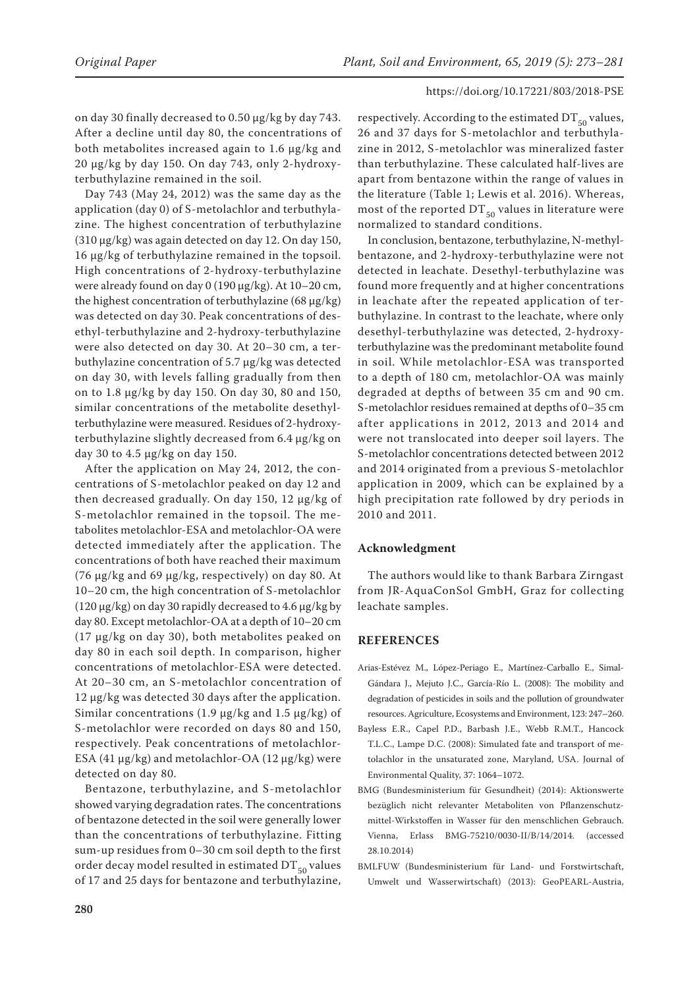on day 30 finally decreased to 0.50 µg/kg by day 743. After a decline until day 80, the concentrations of both metabolites increased again to 1.6 µg/kg and 20 µg/kg by day 150. On day 743, only 2-hydroxyterbuthylazine remained in the soil.

Day 743 (May 24, 2012) was the same day as the application (day 0) of S-metolachlor and terbuthylazine. The highest concentration of terbuthylazine (310 µg/kg) was again detected on day 12. On day 150, 16 μg/kg of terbuthylazine remained in the topsoil. High concentrations of 2-hydroxy-terbuthylazine were already found on day 0 (190 μg/kg). At 10–20 cm, the highest concentration of terbuthylazine (68 µg/kg) was detected on day 30. Peak concentrations of desethyl-terbuthylazine and 2-hydroxy-terbuthylazine were also detected on day 30. At 20–30 cm, a terbuthylazine concentration of 5.7 µg/kg was detected on day 30, with levels falling gradually from then on to 1.8 µg/kg by day 150. On day 30, 80 and 150, similar concentrations of the metabolite desethylterbuthylazine were measured. Residues of 2-hydroxyterbuthylazine slightly decreased from 6.4 µg/kg on day 30 to 4.5 µg/kg on day 150.

After the application on May 24, 2012, the concentrations of S-metolachlor peaked on day 12 and then decreased gradually. On day 150, 12 μg/kg of S-metolachlor remained in the topsoil. The metabolites metolachlor-ESA and metolachlor-OA were detected immediately after the application. The concentrations of both have reached their maximum (76 µg/kg and 69 µg/kg, respectively) on day 80. At 10–20 cm, the high concentration of S-metolachlor (120 µg/kg) on day 30 rapidly decreased to 4.6 μg/kg by day 80. Except metolachlor-OA at a depth of 10–20 cm (17 µg/kg on day 30), both metabolites peaked on day 80 in each soil depth. In comparison, higher concentrations of metolachlor-ESA were detected. At 20–30 cm, an S-metolachlor concentration of 12 µg/kg was detected 30 days after the application. Similar concentrations (1.9  $\mu$ g/kg and 1.5  $\mu$ g/kg) of S-metolachlor were recorded on days 80 and 150, respectively. Peak concentrations of metolachlor-ESA (41  $\mu$ g/kg) and metolachlor-OA (12  $\mu$ g/kg) were detected on day 80.

Bentazone, terbuthylazine, and S-metolachlor showed varying degradation rates. The concentrations of bentazone detected in the soil were generally lower than the concentrations of terbuthylazine. Fitting sum-up residues from 0–30 cm soil depth to the first order decay model resulted in estimated  $DT_{50}$  values of 17 and 25 days for bentazone and terbuthylazine,

respectively. According to the estimated  $DT_{50}$  values, 26 and 37 days for S-metolachlor and terbuthylazine in 2012, S-metolachlor was mineralized faster than terbuthylazine. These calculated half-lives are apart from bentazone within the range of values in the literature (Table 1; Lewis et al. 2016). Whereas, most of the reported  $DT_{50}$  values in literature were normalized to standard conditions.

In conclusion, bentazone, terbuthylazine, N-methylbentazone, and 2-hydroxy-terbuthylazine were not detected in leachate. Desethyl-terbuthylazine was found more frequently and at higher concentrations in leachate after the repeated application of terbuthylazine. In contrast to the leachate, where only desethyl-terbuthylazine was detected, 2-hydroxyterbuthylazine was the predominant metabolite found in soil. While metolachlor-ESA was transported to a depth of 180 cm, metolachlor-OA was mainly degraded at depths of between 35 cm and 90 cm. S-metolachlor residues remained at depths of 0–35 cm after applications in 2012, 2013 and 2014 and were not translocated into deeper soil layers. The S-metolachlor concentrations detected between 2012 and 2014 originated from a previous S-metolachlor application in 2009, which can be explained by a high precipitation rate followed by dry periods in 2010 and 2011.

## **Acknowledgment**

The authors would like to thank Barbara Zirngast from JR-AquaConSol GmbH, Graz for collecting leachate samples.

## **REFERENCES**

- Arias-Estévez M., López-Periago E., Martínez-Carballo E., Simal-Gándara J., Mejuto J.C., García-Río L. (2008): The mobility and degradation of pesticides in soils and the pollution of groundwater resources. Agriculture, Ecosystems and Environment, 123: 247–260.
- Bayless E.R., Capel P.D., Barbash J.E., Webb R.M.T., Hancock T.L.C., Lampe D.C. (2008): Simulated fate and transport of metolachlor in the unsaturated zone, Maryland, USA. Journal of Environmental Quality, 37: 1064–1072.
- BMG (Bundesministerium für Gesundheit) (2014): Aktionswerte bezüglich nicht relevanter Metaboliten von Pflanzenschutzmittel-Wirkstoffen in Wasser für den menschlichen Gebrauch. Vienna, Erlass BMG-75210/0030-II/B/14/2014. (accessed 28.10.2014)
- BMLFUW (Bundesministerium für Land- und Forstwirtschaft, Umwelt und Wasserwirtschaft) (2013): GeoPEARL-Austria,